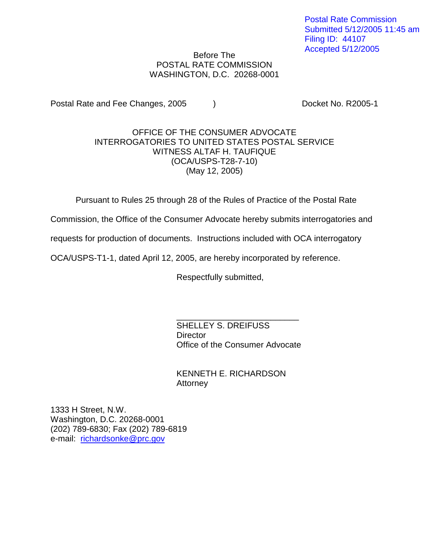Postal Rate Commission Submitted 5/12/2005 11:45 am Filing ID: 44107 Accepted 5/12/2005

## Before The POSTAL RATE COMMISSION WASHINGTON, D.C. 20268-0001

Postal Rate and Fee Changes, 2005 (a) The Cooket No. R2005-1

## OFFICE OF THE CONSUMER ADVOCATE INTERROGATORIES TO UNITED STATES POSTAL SERVICE WITNESS ALTAF H. TAUFIQUE (OCA/USPS-T28-7-10) (May 12, 2005)

Pursuant to Rules 25 through 28 of the Rules of Practice of the Postal Rate

Commission, the Office of the Consumer Advocate hereby submits interrogatories and

requests for production of documents. Instructions included with OCA interrogatory

OCA/USPS-T1-1, dated April 12, 2005, are hereby incorporated by reference.

Respectfully submitted,

\_\_\_\_\_\_\_\_\_\_\_\_\_\_\_\_\_\_\_\_\_\_\_\_\_\_ SHELLEY S. DREIFUSS **Director** Office of the Consumer Advocate

KENNETH E. RICHARDSON Attorney

1333 H Street, N.W. Washington, D.C. 20268-0001 (202) 789-6830; Fax (202) 789-6819 e-mail: richardsonke@prc.gov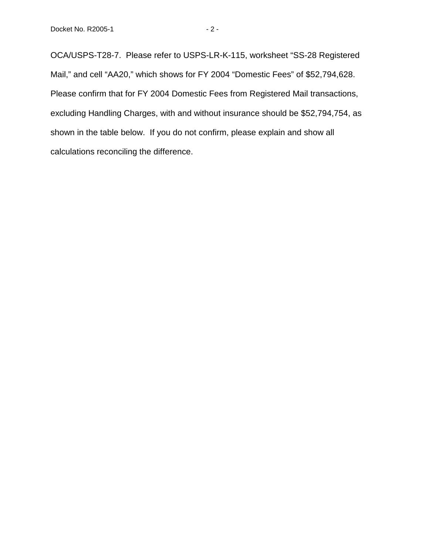OCA/USPS-T28-7. Please refer to USPS-LR-K-115, worksheet "SS-28 Registered Mail," and cell "AA20," which shows for FY 2004 "Domestic Fees" of \$52,794,628. Please confirm that for FY 2004 Domestic Fees from Registered Mail transactions, excluding Handling Charges, with and without insurance should be \$52,794,754, as shown in the table below. If you do not confirm, please explain and show all calculations reconciling the difference.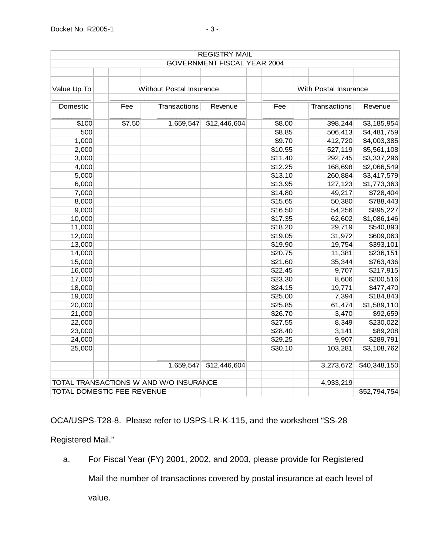|                                        |                                 |              | <b>REGISTRY MAIL</b>        |                       |                     |              |
|----------------------------------------|---------------------------------|--------------|-----------------------------|-----------------------|---------------------|--------------|
|                                        |                                 |              | GOVERNMENT FISCAL YEAR 2004 |                       |                     |              |
|                                        |                                 |              |                             |                       |                     |              |
|                                        |                                 |              |                             |                       |                     |              |
| Value Up To                            | <b>Without Postal Insurance</b> |              |                             | With Postal Insurance |                     |              |
|                                        |                                 |              |                             |                       |                     |              |
| Domestic                               | Fee                             | Transactions | Revenue                     | Fee                   | <b>Transactions</b> | Revenue      |
|                                        |                                 |              |                             |                       |                     |              |
| \$100                                  | \$7.50                          | 1,659,547    | \$12,446,604                | \$8.00                | 398,244             | \$3,185,954  |
| 500                                    |                                 |              |                             | \$8.85                | 506,413             | \$4,481,759  |
| 1,000                                  |                                 |              |                             | \$9.70                | 412,720             | \$4,003,385  |
| 2,000                                  |                                 |              |                             | \$10.55               | 527,119             | \$5,561,108  |
| 3,000                                  |                                 |              |                             | \$11.40               | 292,745             | \$3,337,296  |
| 4,000                                  |                                 |              |                             | \$12.25               | 168,698             | \$2,066,549  |
| 5,000                                  |                                 |              |                             | \$13.10               | 260,884             | \$3,417,579  |
| 6,000                                  |                                 |              |                             | \$13.95               | 127,123             | \$1,773,363  |
| 7,000                                  |                                 |              |                             | \$14.80               | 49,217              | \$728,404    |
| 8,000                                  |                                 |              |                             | \$15.65               | 50,380              | \$788,443    |
| 9,000                                  |                                 |              |                             | \$16.50               | 54,256              | \$895,227    |
| 10,000                                 |                                 |              |                             | \$17.35               | 62,602              | \$1,086,146  |
| 11,000                                 |                                 |              |                             | \$18.20               | 29,719              | \$540,893    |
| 12,000                                 |                                 |              |                             | \$19.05               | 31,972              | \$609,063    |
| 13,000                                 |                                 |              |                             | \$19.90               | 19,754              | \$393,101    |
| 14,000                                 |                                 |              |                             | \$20.75               | 11,381              | \$236,151    |
| 15,000                                 |                                 |              |                             | \$21.60               | 35,344              | \$763,436    |
| 16,000                                 |                                 |              |                             | \$22.45               | 9,707               | \$217,915    |
| 17,000                                 |                                 |              |                             | \$23.30               | 8,606               | \$200,516    |
| 18,000                                 |                                 |              |                             | \$24.15               | 19,771              | \$477,470    |
| 19,000                                 |                                 |              |                             | \$25.00               | 7,394               | \$184,843    |
| 20,000                                 |                                 |              |                             | \$25.85               | 61,474              | \$1,589,110  |
| 21,000                                 |                                 |              |                             | \$26.70               | 3,470               | \$92,659     |
| 22,000                                 |                                 |              |                             | \$27.55               | 8,349               | \$230,022    |
| 23,000                                 |                                 |              |                             | \$28.40               | 3,141               | \$89,208     |
| 24,000                                 |                                 |              |                             | \$29.25               | 9,907               | \$289,791    |
| 25,000                                 |                                 |              |                             | \$30.10               | 103,281             | \$3,108,762  |
|                                        |                                 |              |                             |                       |                     |              |
|                                        |                                 | 1,659,547    | \$12,446,604                |                       | 3,273,672           | \$40,348,150 |
| TOTAL TRANSACTIONS W AND W/O INSURANCE |                                 |              |                             |                       | 4,933,219           |              |
| TOTAL DOMESTIC FEE REVENUE             |                                 |              |                             |                       |                     | \$52,794,754 |

OCA/USPS-T28-8. Please refer to USPS-LR-K-115, and the worksheet "SS-28

Registered Mail."

a. For Fiscal Year (FY) 2001, 2002, and 2003, please provide for Registered

Mail the number of transactions covered by postal insurance at each level of

value.